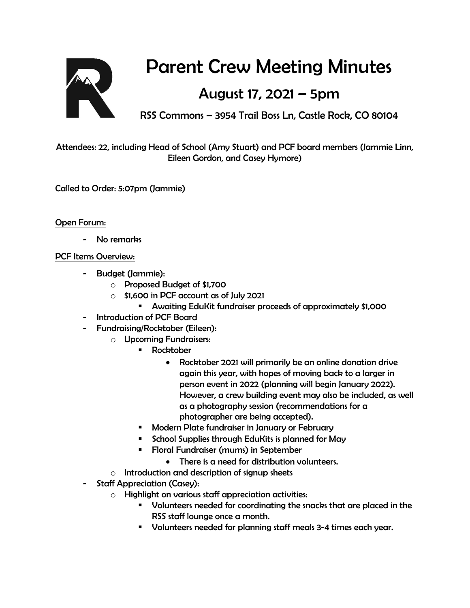

## Parent Crew Meeting Minutes

## August 17, 2021 – 5pm

RSS Commons – 3954 Trail Boss Ln, Castle Rock, CO 80104

Attendees: 22, including Head of School (Amy Stuart) and PCF board members (Jammie Linn, Eileen Gordon, and Casey Hymore)

Called to Order: 5:07pm (Jammie)

Open Forum:

No remarks

## PCF Items Overview:

- Budget (Jammie):
	- o Proposed Budget of \$1,700
	- $\circ$  \$1,600 in PCF account as of July 2021
		- Awaiting EduKit fundraiser proceeds of approximately \$1,000
- Introduction of PCF Board
- Fundraising/Rocktober (Eileen):
	- o Upcoming Fundraisers:
		- **Rocktober** 
			- Rocktober 2021 will primarily be an online donation drive again this year, with hopes of moving back to a larger in person event in 2022 (planning will begin January 2022). However, a crew building event may also be included, as well as a photography session (recommendations for a photographer are being accepted).
		- **Modern Plate fundraiser in January or February**
		- **School Supplies through EduKits is planned for May**
		- Floral Fundraiser (mums) in September
			- There is a need for distribution volunteers.
	- o Introduction and description of signup sheets
- Staff Appreciation (Casey):
	- o Highlight on various staff appreciation activities:
		- Volunteers needed for coordinating the snacks that are placed in the RSS staff lounge once a month.
		- Volunteers needed for planning staff meals 3-4 times each year.